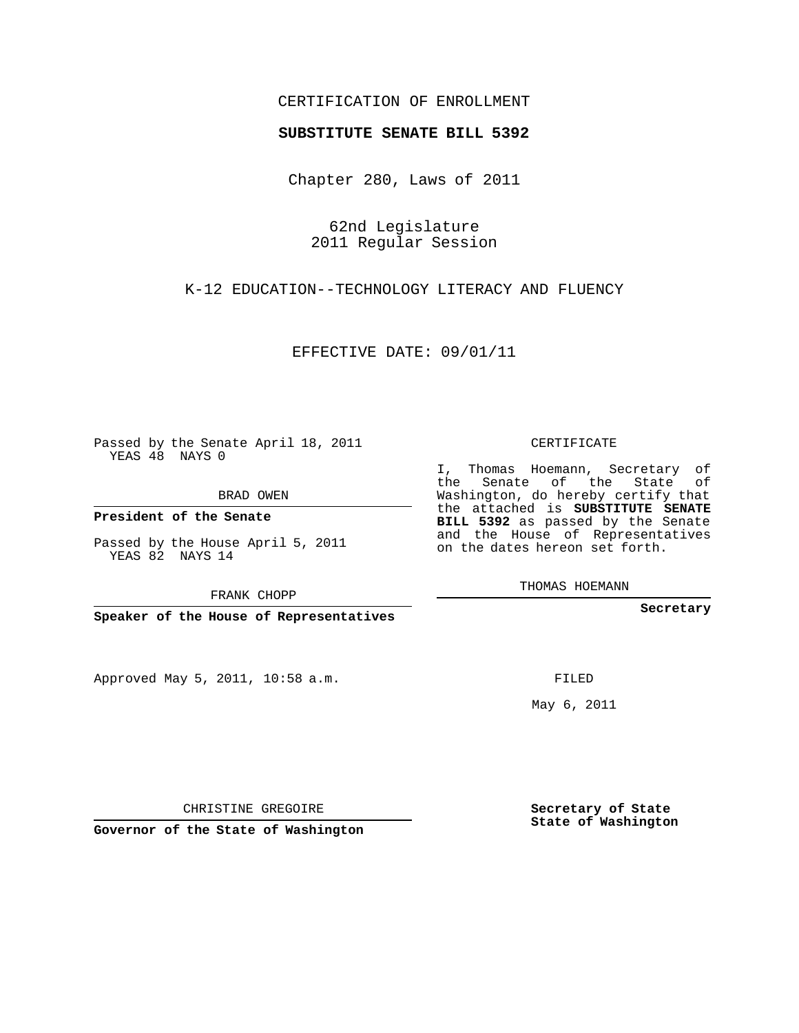## CERTIFICATION OF ENROLLMENT

## **SUBSTITUTE SENATE BILL 5392**

Chapter 280, Laws of 2011

62nd Legislature 2011 Regular Session

K-12 EDUCATION--TECHNOLOGY LITERACY AND FLUENCY

EFFECTIVE DATE: 09/01/11

Passed by the Senate April 18, 2011 YEAS 48 NAYS 0

BRAD OWEN

**President of the Senate**

Passed by the House April 5, 2011 YEAS 82 NAYS 14

FRANK CHOPP

**Speaker of the House of Representatives**

Approved May 5, 2011, 10:58 a.m.

CERTIFICATE

I, Thomas Hoemann, Secretary of the Senate of the State of Washington, do hereby certify that the attached is **SUBSTITUTE SENATE BILL 5392** as passed by the Senate and the House of Representatives on the dates hereon set forth.

THOMAS HOEMANN

**Secretary**

FILED

May 6, 2011

**Secretary of State State of Washington**

CHRISTINE GREGOIRE

**Governor of the State of Washington**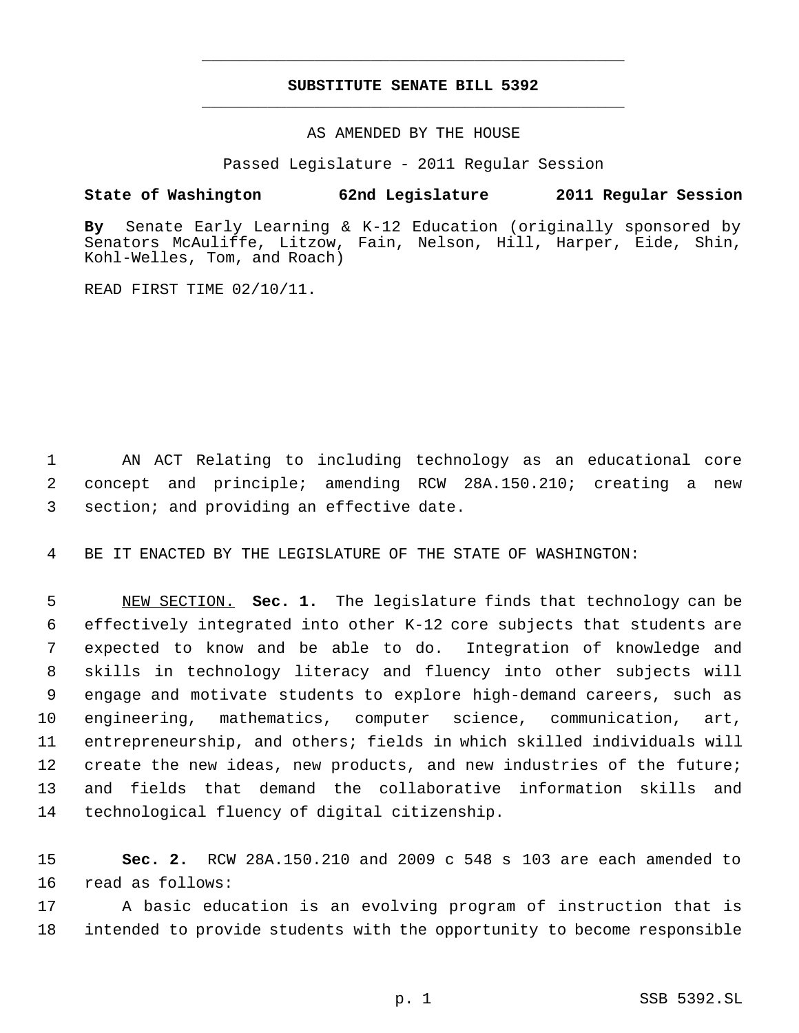## **SUBSTITUTE SENATE BILL 5392** \_\_\_\_\_\_\_\_\_\_\_\_\_\_\_\_\_\_\_\_\_\_\_\_\_\_\_\_\_\_\_\_\_\_\_\_\_\_\_\_\_\_\_\_\_

\_\_\_\_\_\_\_\_\_\_\_\_\_\_\_\_\_\_\_\_\_\_\_\_\_\_\_\_\_\_\_\_\_\_\_\_\_\_\_\_\_\_\_\_\_

AS AMENDED BY THE HOUSE

Passed Legislature - 2011 Regular Session

## **State of Washington 62nd Legislature 2011 Regular Session**

**By** Senate Early Learning & K-12 Education (originally sponsored by Senators McAuliffe, Litzow, Fain, Nelson, Hill, Harper, Eide, Shin, Kohl-Welles, Tom, and Roach)

READ FIRST TIME 02/10/11.

 AN ACT Relating to including technology as an educational core concept and principle; amending RCW 28A.150.210; creating a new section; and providing an effective date.

BE IT ENACTED BY THE LEGISLATURE OF THE STATE OF WASHINGTON:

 NEW SECTION. **Sec. 1.** The legislature finds that technology can be effectively integrated into other K-12 core subjects that students are expected to know and be able to do. Integration of knowledge and skills in technology literacy and fluency into other subjects will engage and motivate students to explore high-demand careers, such as engineering, mathematics, computer science, communication, art, entrepreneurship, and others; fields in which skilled individuals will create the new ideas, new products, and new industries of the future; and fields that demand the collaborative information skills and technological fluency of digital citizenship.

 **Sec. 2.** RCW 28A.150.210 and 2009 c 548 s 103 are each amended to read as follows:

 A basic education is an evolving program of instruction that is intended to provide students with the opportunity to become responsible